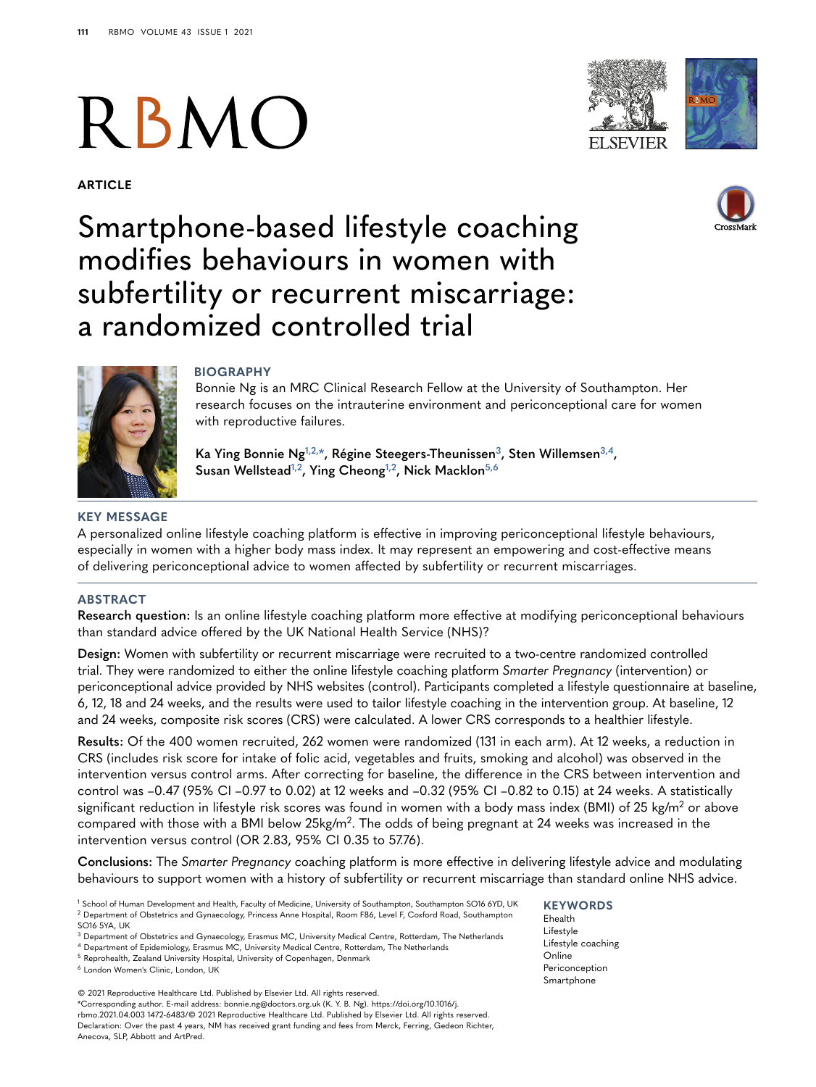# RBMO

**ARTICLE**





# Smartphone-based lifestyle coaching modifies behaviours in women with subfertility or recurrent miscarriage: a randomized controlled trial





# **BIOGRAPHY**

Bonnie Ng is an MRC Clinical Research Fellow at the University of Southampton. Her research focuses on the intrauterine environment and periconceptional care for women with reproductive failures.

**Ka Ying Bonnie Ng[1,](#page-0-0)[2,](#page-0-1)[\\*,](#page-0-2) Régine Steegers-Theunisse[n3,](#page-0-3) Sten Willemse[n3,](#page-0-3)[4,](#page-0-4) Susan Wellstead[1,](#page-0-0)[2,](#page-0-1) Ying Cheon[g1,](#page-0-0)[2](#page-0-1), Nick Macklo[n5,](#page-0-5)[6](#page-0-6)**

# **KEY MESSAGE**

A personalized online lifestyle coaching platform is effective in improving periconceptional lifestyle behaviours, especially in women with a higher body mass index. It may represent an empowering and cost-effective means of delivering periconceptional advice to women affected by subfertility or recurrent miscarriages.

# **ABSTRACT**

**Research question:** Is an online lifestyle coaching platform more effective at modifying periconceptional behaviours than standard advice offered by the UK National Health Service (NHS)?

**Design:** Women with subfertility or recurrent miscarriage were recruited to a two-centre randomized controlled trial. They were randomized to either the online lifestyle coaching platform *Smarter Pregnancy* (intervention) or periconceptional advice provided by NHS websites (control). Participants completed a lifestyle questionnaire at baseline, 6, 12, 18 and 24 weeks, and the results were used to tailor lifestyle coaching in the intervention group. At baseline, 12 and 24 weeks, composite risk scores (CRS) were calculated. A lower CRS corresponds to a healthier lifestyle.

**Results:** Of the 400 women recruited, 262 women were randomized (131 in each arm). At 12 weeks, a reduction in CRS (includes risk score for intake of folic acid, vegetables and fruits, smoking and alcohol) was observed in the intervention versus control arms. After correcting for baseline, the difference in the CRS between intervention and control was –0.47 (95% CI –0.97 to 0.02) at 12 weeks and –0.32 (95% CI –0.82 to 0.15) at 24 weeks. A statistically significant reduction in lifestyle risk scores was found in women with a body mass index (BMI) of 25 kg/m<sup>2</sup> or above compared with those with a BMI below 25kg/m<sup>2</sup>. The odds of being pregnant at 24 weeks was increased in the intervention versus control (OR 2.83, 95% CI 0.35 to 57.76).

**Conclusions:** The *Smarter Pregnancy* coaching platform is more effective in delivering lifestyle advice and modulating behaviours to support women with a history of subfertility or recurrent miscarriage than standard online NHS advice.

<span id="page-0-1"></span><span id="page-0-0"></span><sup>1</sup> School of Human Development and Health, Faculty of Medicine, University of Southampton, Southampton SO16 6YD, UK <sup>2</sup> Department of Obstetrics and Gynaecology, Princess Anne Hospital, Room F86, Level F, Coxford Road, Southampton SO16 5YA, UK

<span id="page-0-5"></span><sup>5</sup> Reprohealth, Zealand University Hospital, University of Copenhagen, Denmark

<span id="page-0-6"></span><sup>6</sup> London Women's Clinic, London, UK

<span id="page-0-2"></span>© 2021 Reproductive Healthcare Ltd. Published by Elsevier Ltd. All rights reserved. \*Corresponding author. E-mail address: bonnie.ng@doctors.org.uk (K. Y. B. Ng). https://doi.org/10.1016/j. rbmo.2021.04.003 1472-6483/© 2021 Reproductive Healthcare Ltd. Published by Elsevier Ltd. All rights reserved. Declaration: Over the past 4 years, NM has received grant funding and fees from Merck, Ferring, Gedeon Richter, Anecova, SLP, Abbott and ArtPred.

#### **KEYWORDS**

Ehealth Lifestyle Lifestyle coaching Online Periconception Smartphone

<span id="page-0-3"></span><sup>3</sup> Department of Obstetrics and Gynaecology, Erasmus MC, University Medical Centre, Rotterdam, The Netherlands

<span id="page-0-4"></span><sup>4</sup> Department of Epidemiology, Erasmus MC, University Medical Centre, Rotterdam, The Netherlands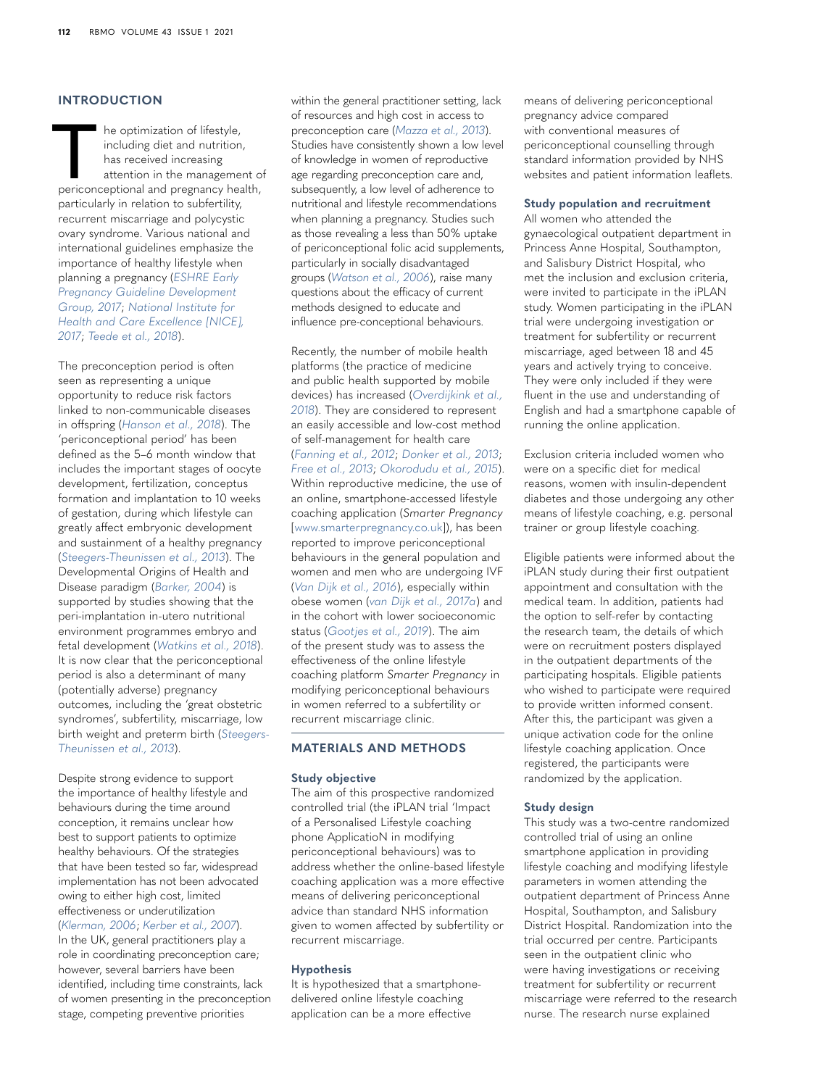## **INTRODUCTION**

The optimization of lifestyle,<br>
including diet and nutrition,<br>
has received increasing<br>
attention in the management of<br>
periconceptional and pregnancy health, including diet and nutrition, has received increasing attention in the management of particularly in relation to subfertility, recurrent miscarriage and polycystic ovary syndrome. Various national and international guidelines emphasize the importance of healthy lifestyle when planning a pregnancy (*[ESHRE Early](#page-7-0)  [Pregnancy Guideline Development](#page-7-0)  [Group, 2017](#page-7-0)*; *[National Institute for](#page-7-1)  [Health and Care Excellence \[NICE\],](#page-7-1)  [2017](#page-7-1)*; *[Teede et al., 2018](#page-8-0)*).

The preconception period is often seen as representing a unique opportunity to reduce risk factors linked to non-communicable diseases in offspring (*[Hanson et al., 2018](#page-7-2)*). The 'periconceptional period' has been defined as the 5–6 month window that includes the important stages of oocyte development, fertilization, conceptus formation and implantation to 10 weeks of gestation, during which lifestyle can greatly affect embryonic development and sustainment of a healthy pregnancy (*[Steegers-Theunissen et al., 2013](#page-8-1)*). The Developmental Origins of Health and Disease paradigm (*[Barker, 2004](#page-7-3)*) is supported by studies showing that the peri-implantation in-utero nutritional environment programmes embryo and fetal development (*[Watkins et al., 2018](#page-8-2)*). It is now clear that the periconceptional period is also a determinant of many (potentially adverse) pregnancy outcomes, including the 'great obstetric syndromes', subfertility, miscarriage, low birth weight and preterm birth (*[Steegers-](#page-8-1)[Theunissen et al., 2013](#page-8-1)*).

Despite strong evidence to support the importance of healthy lifestyle and behaviours during the time around conception, it remains unclear how best to support patients to optimize healthy behaviours. Of the strategies that have been tested so far, widespread implementation has not been advocated owing to either high cost, limited effectiveness or underutilization (*[Klerman, 2006](#page-7-4)*; *[Kerber et al., 2007](#page-7-5)*). In the UK, general practitioners play a role in coordinating preconception care; however, several barriers have been identified, including time constraints, lack of women presenting in the preconception stage, competing preventive priorities

within the general practitioner setting, lack of resources and high cost in access to preconception care (*[Mazza et al., 2013](#page-7-6)*). Studies have consistently shown a low level of knowledge in women of reproductive age regarding preconception care and, subsequently, a low level of adherence to nutritional and lifestyle recommendations when planning a pregnancy. Studies such as those revealing a less than 50% uptake of periconceptional folic acid supplements, particularly in socially disadvantaged groups (*[Watson et al., 2006](#page-8-3)*), raise many questions about the efficacy of current methods designed to educate and influence pre-conceptional behaviours.

Recently, the number of mobile health platforms (the practice of medicine and public health supported by mobile devices) has increased (*[Overdijkink et al.,](#page-8-4)  [2018](#page-8-4)*). They are considered to represent an easily accessible and low-cost method of self-management for health care (*[Fanning et al., 2012](#page-7-7)*; *[Donker et al., 2013](#page-7-8)*; *[Free et al., 2013](#page-7-9)*; *[Okorodudu et al., 2015](#page-7-10)*). Within reproductive medicine, the use of an online, smartphone-accessed lifestyle coaching application (*Smarter Pregnancy* [\[www.smarterpregnancy.co.uk\]](http://www.smarterpregnancy.co.uk)), has been reported to improve periconceptional behaviours in the general population and women and men who are undergoing IVF (*[Van Dijk et al., 2016](#page-8-5)*), especially within obese women (*[van Dijk et al., 2017a](#page-8-6)*) and in the cohort with lower socioeconomic status (*[Gootjes et al., 2019](#page-7-11)*). The aim of the present study was to assess the effectiveness of the online lifestyle coaching platform *Smarter Pregnancy* in modifying periconceptional behaviours in women referred to a subfertility or recurrent miscarriage clinic.

# **MATERIALS AND METHODS**

#### **Study objective**

The aim of this prospective randomized controlled trial (the iPLAN trial 'Impact of a Personalised Lifestyle coaching phone ApplicatioN in modifying periconceptional behaviours) was to address whether the online-based lifestyle coaching application was a more effective means of delivering periconceptional advice than standard NHS information given to women affected by subfertility or recurrent miscarriage.

# **Hypothesis**

It is hypothesized that a smartphonedelivered online lifestyle coaching application can be a more effective

means of delivering periconceptional pregnancy advice compared with conventional measures of periconceptional counselling through standard information provided by NHS websites and patient information leaflets.

#### **Study population and recruitment**

All women who attended the gynaecological outpatient department in Princess Anne Hospital, Southampton, and Salisbury District Hospital, who met the inclusion and exclusion criteria, were invited to participate in the iPLAN study. Women participating in the iPLAN trial were undergoing investigation or treatment for subfertility or recurrent miscarriage, aged between 18 and 45 years and actively trying to conceive. They were only included if they were fluent in the use and understanding of English and had a smartphone capable of running the online application.

Exclusion criteria included women who were on a specific diet for medical reasons, women with insulin-dependent diabetes and those undergoing any other means of lifestyle coaching, e.g. personal trainer or group lifestyle coaching.

Eligible patients were informed about the iPLAN study during their first outpatient appointment and consultation with the medical team. In addition, patients had the option to self-refer by contacting the research team, the details of which were on recruitment posters displayed in the outpatient departments of the participating hospitals. Eligible patients who wished to participate were required to provide written informed consent. After this, the participant was given a unique activation code for the online lifestyle coaching application. Once registered, the participants were randomized by the application.

#### **Study design**

This study was a two-centre randomized controlled trial of using an online smartphone application in providing lifestyle coaching and modifying lifestyle parameters in women attending the outpatient department of Princess Anne Hospital, Southampton, and Salisbury District Hospital. Randomization into the trial occurred per centre. Participants seen in the outpatient clinic who were having investigations or receiving treatment for subfertility or recurrent miscarriage were referred to the research nurse. The research nurse explained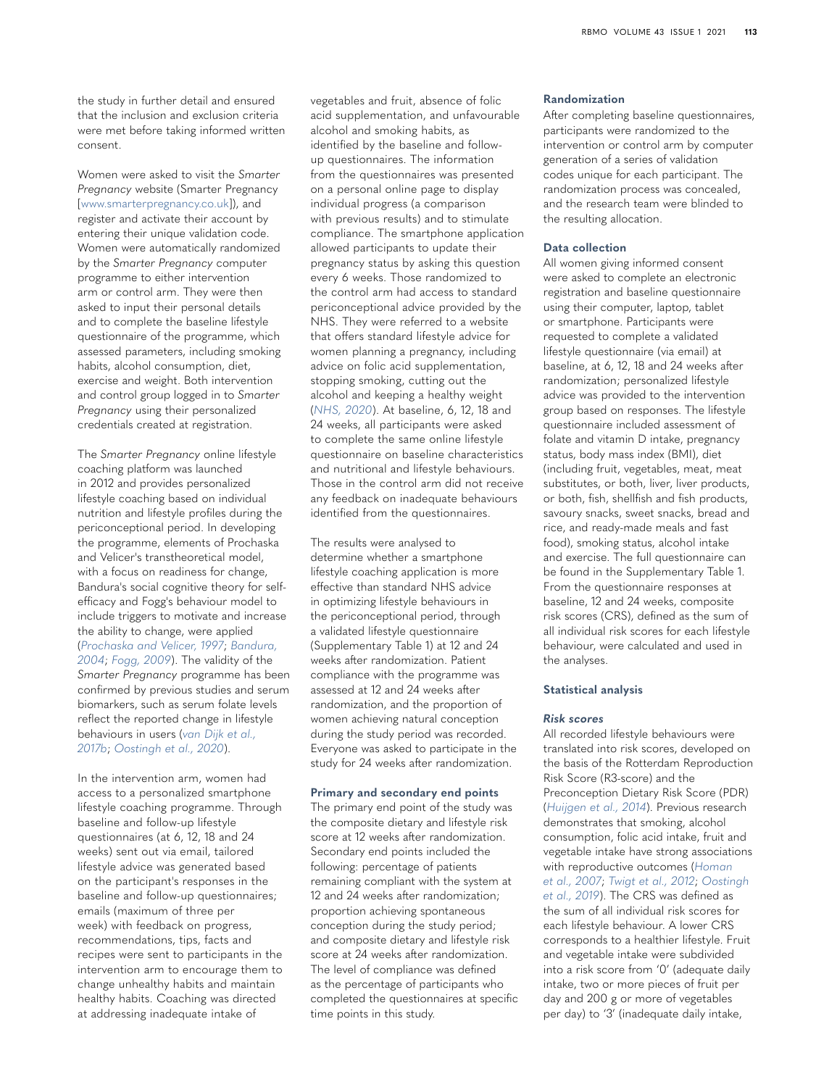the study in further detail and ensured that the inclusion and exclusion criteria were met before taking informed written consent.

Women were asked to visit the *Smarter Pregnancy* website (Smarter Pregnancy [\[www.smarterpregnancy.co.uk](http://www.smarterpregnancy.co.uk)]), and register and activate their account by entering their unique validation code. Women were automatically randomized by the *Smarter Pregnancy* computer programme to either intervention arm or control arm. They were then asked to input their personal details and to complete the baseline lifestyle questionnaire of the programme, which assessed parameters, including smoking habits, alcohol consumption, diet, exercise and weight. Both intervention and control group logged in to *Smarter Pregnancy* using their personalized credentials created at registration.

The *Smarter Pregnancy* online lifestyle coaching platform was launched in 2012 and provides personalized lifestyle coaching based on individual nutrition and lifestyle profiles during the periconceptional period. In developing the programme, elements of Prochaska and Velicer's transtheoretical model, with a focus on readiness for change, Bandura's social cognitive theory for selfefficacy and Fogg's behaviour model to include triggers to motivate and increase the ability to change, were applied (*[Prochaska and Velicer, 1997](#page-8-7)*; *[Bandura,](#page-7-12)  [2004](#page-7-12)*; *[Fogg, 2009](#page-7-13)*). The validity of the *Smarter Pregnancy* programme has been confirmed by previous studies and serum biomarkers, such as serum folate levels reflect the reported change in lifestyle behaviours in users (*[van Dijk et al.,](#page-8-8)  [2017b](#page-8-8)*; *[Oostingh et al., 2020](#page-7-14)*).

In the intervention arm, women had access to a personalized smartphone lifestyle coaching programme. Through baseline and follow-up lifestyle questionnaires (at 6, 12, 18 and 24 weeks) sent out via email, tailored lifestyle advice was generated based on the participant's responses in the baseline and follow-up questionnaires; emails (maximum of three per week) with feedback on progress, recommendations, tips, facts and recipes were sent to participants in the intervention arm to encourage them to change unhealthy habits and maintain healthy habits. Coaching was directed at addressing inadequate intake of

vegetables and fruit, absence of folic acid supplementation, and unfavourable alcohol and smoking habits, as identified by the baseline and followup questionnaires. The information from the questionnaires was presented on a personal online page to display individual progress (a comparison with previous results) and to stimulate compliance. The smartphone application allowed participants to update their pregnancy status by asking this question every 6 weeks. Those randomized to the control arm had access to standard periconceptional advice provided by the NHS. They were referred to a website that offers standard lifestyle advice for women planning a pregnancy, including advice on folic acid supplementation, stopping smoking, cutting out the alcohol and keeping a healthy weight (*[NHS, 2020](#page-7-15)*). At baseline, 6, 12, 18 and 24 weeks, all participants were asked to complete the same online lifestyle questionnaire on baseline characteristics and nutritional and lifestyle behaviours. Those in the control arm did not receive any feedback on inadequate behaviours identified from the questionnaires.

The results were analysed to determine whether a smartphone lifestyle coaching application is more effective than standard NHS advice in optimizing lifestyle behaviours in the periconceptional period, through a validated lifestyle questionnaire (Supplementary Table 1) at 12 and 24 weeks after randomization. Patient compliance with the programme was assessed at 12 and 24 weeks after randomization, and the proportion of women achieving natural conception during the study period was recorded. Everyone was asked to participate in the study for 24 weeks after randomization.

#### **Primary and secondary end points**

The primary end point of the study was the composite dietary and lifestyle risk score at 12 weeks after randomization. Secondary end points included the following: percentage of patients remaining compliant with the system at 12 and 24 weeks after randomization; proportion achieving spontaneous conception during the study period; and composite dietary and lifestyle risk score at 24 weeks after randomization. The level of compliance was defined as the percentage of participants who completed the questionnaires at specific time points in this study.

#### **Randomization**

After completing baseline questionnaires, participants were randomized to the intervention or control arm by computer generation of a series of validation codes unique for each participant. The randomization process was concealed, and the research team were blinded to the resulting allocation.

#### **Data collection**

All women giving informed consent were asked to complete an electronic registration and baseline questionnaire using their computer, laptop, tablet or smartphone. Participants were requested to complete a validated lifestyle questionnaire (via email) at baseline, at 6, 12, 18 and 24 weeks after randomization; personalized lifestyle advice was provided to the intervention group based on responses. The lifestyle questionnaire included assessment of folate and vitamin D intake, pregnancy status, body mass index (BMI), diet (including fruit, vegetables, meat, meat substitutes, or both, liver, liver products, or both, fish, shellfish and fish products, savoury snacks, sweet snacks, bread and rice, and ready-made meals and fast food), smoking status, alcohol intake and exercise. The full questionnaire can be found in the Supplementary Table 1. From the questionnaire responses at baseline, 12 and 24 weeks, composite risk scores (CRS), defined as the sum of all individual risk scores for each lifestyle behaviour, were calculated and used in the analyses.

#### **Statistical analysis**

#### *Risk scores*

All recorded lifestyle behaviours were translated into risk scores, developed on the basis of the Rotterdam Reproduction Risk Score (R3-score) and the Preconception Dietary Risk Score (PDR) (*[Huijgen et al., 2014](#page-7-16)*). Previous research demonstrates that smoking, alcohol consumption, folic acid intake, fruit and vegetable intake have strong associations with reproductive outcomes (*[Homan](#page-7-17)  [et al., 2007](#page-7-17)*; *[Twigt et al., 2012](#page-8-9)*; *[Oostingh](#page-7-18)  [et al., 2019](#page-7-18)*). The CRS was defined as the sum of all individual risk scores for each lifestyle behaviour. A lower CRS corresponds to a healthier lifestyle. Fruit and vegetable intake were subdivided into a risk score from '0' (adequate daily intake, two or more pieces of fruit per day and 200 g or more of vegetables per day) to '3' (inadequate daily intake,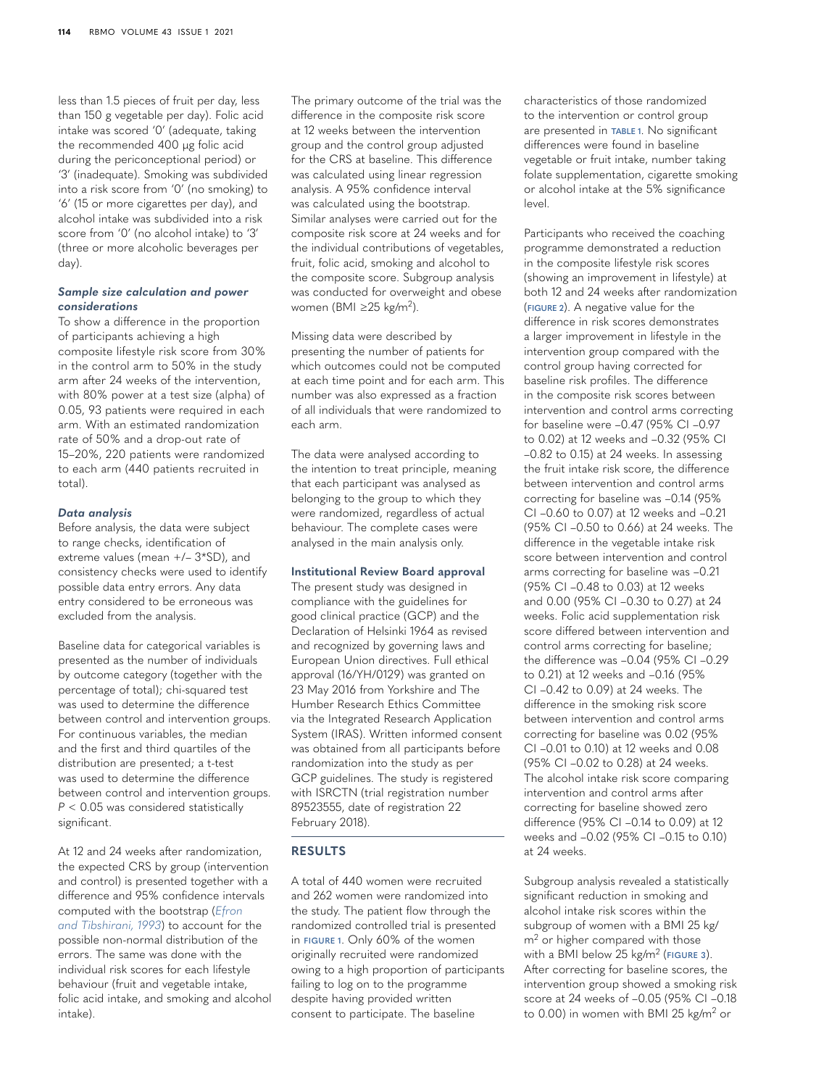less than 1.5 pieces of fruit per day, less than 150 g vegetable per day). Folic acid intake was scored '0' (adequate, taking the recommended 400 µg folic acid during the periconceptional period) or '3' (inadequate). Smoking was subdivided into a risk score from '0' (no smoking) to '6' (15 or more cigarettes per day), and alcohol intake was subdivided into a risk score from '0' (no alcohol intake) to '3' (three or more alcoholic beverages per day).

#### *Sample size calculation and power considerations*

To show a difference in the proportion of participants achieving a high composite lifestyle risk score from 30% in the control arm to 50% in the study arm after 24 weeks of the intervention, with 80% power at a test size (alpha) of 0.05, 93 patients were required in each arm. With an estimated randomization rate of 50% and a drop-out rate of 15–20%, 220 patients were randomized to each arm (440 patients recruited in total).

#### *Data analysis*

Before analysis, the data were subject to range checks, identification of extreme values (mean +/– 3\*SD), and consistency checks were used to identify possible data entry errors. Any data entry considered to be erroneous was excluded from the analysis.

Baseline data for categorical variables is presented as the number of individuals by outcome category (together with the percentage of total); chi-squared test was used to determine the difference between control and intervention groups. For continuous variables, the median and the first and third quartiles of the distribution are presented; a t-test was used to determine the difference between control and intervention groups. *P* < 0.05 was considered statistically significant.

At 12 and 24 weeks after randomization, the expected CRS by group (intervention and control) is presented together with a difference and 95% confidence intervals computed with the bootstrap (*[Efron](#page-7-19)  [and Tibshirani, 1993](#page-7-19)*) to account for the possible non-normal distribution of the errors. The same was done with the individual risk scores for each lifestyle behaviour (fruit and vegetable intake, folic acid intake, and smoking and alcohol intake).

The primary outcome of the trial was the difference in the composite risk score at 12 weeks between the intervention group and the control group adjusted for the CRS at baseline. This difference was calculated using linear regression analysis. A 95% confidence interval was calculated using the bootstrap. Similar analyses were carried out for the composite risk score at 24 weeks and for the individual contributions of vegetables, fruit, folic acid, smoking and alcohol to the composite score. Subgroup analysis was conducted for overweight and obese women (BMI ≥25 kg/m2).

Missing data were described by presenting the number of patients for which outcomes could not be computed at each time point and for each arm. This number was also expressed as a fraction of all individuals that were randomized to each arm.

The data were analysed according to the intention to treat principle, meaning that each participant was analysed as belonging to the group to which they were randomized, regardless of actual behaviour. The complete cases were analysed in the main analysis only.

#### **Institutional Review Board approval**

The present study was designed in compliance with the guidelines for good clinical practice (GCP) and the Declaration of Helsinki 1964 as revised and recognized by governing laws and European Union directives. Full ethical approval (16/YH/0129) was granted on 23 May 2016 from Yorkshire and The Humber Research Ethics Committee via the Integrated Research Application System (IRAS). Written informed consent was obtained from all participants before randomization into the study as per GCP guidelines. The study is registered with ISRCTN (trial registration number 89523555, date of registration 22 February 2018).

#### **RESULTS**

A total of 440 women were recruited and 262 women were randomized into the study. The patient flow through the randomized controlled trial is presented in **[FIGURE 1](#page-4-0)**. Only 60% of the women originally recruited were randomized owing to a high proportion of participants failing to log on to the programme despite having provided written consent to participate. The baseline

characteristics of those randomized to the intervention or control group are presented in **[TABLE 1](#page-6-0)**. No significant differences were found in baseline vegetable or fruit intake, number taking folate supplementation, cigarette smoking or alcohol intake at the 5% significance level.

Participants who received the coaching programme demonstrated a reduction in the composite lifestyle risk scores (showing an improvement in lifestyle) at both 12 and 24 weeks after randomization (**[FIGURE 2](#page-5-0)**). A negative value for the difference in risk scores demonstrates a larger improvement in lifestyle in the intervention group compared with the control group having corrected for baseline risk profiles. The difference in the composite risk scores between intervention and control arms correcting for baseline were –0.47 (95% CI –0.97 to 0.02) at 12 weeks and –0.32 (95% CI –0.82 to 0.15) at 24 weeks. In assessing the fruit intake risk score, the difference between intervention and control arms correcting for baseline was –0.14 (95% CI –0.60 to 0.07) at 12 weeks and –0.21 (95% CI –0.50 to 0.66) at 24 weeks. The difference in the vegetable intake risk score between intervention and control arms correcting for baseline was –0.21 (95% CI –0.48 to 0.03) at 12 weeks and 0.00 (95% CI –0.30 to 0.27) at 24 weeks. Folic acid supplementation risk score differed between intervention and control arms correcting for baseline; the difference was –0.04 (95% CI –0.29 to 0.21) at 12 weeks and –0.16 (95% CI –0.42 to 0.09) at 24 weeks. The difference in the smoking risk score between intervention and control arms correcting for baseline was 0.02 (95% CI –0.01 to 0.10) at 12 weeks and 0.08 (95% CI –0.02 to 0.28) at 24 weeks. The alcohol intake risk score comparing intervention and control arms after correcting for baseline showed zero difference (95% CI –0.14 to 0.09) at 12 weeks and –0.02 (95% CI –0.15 to 0.10) at 24 weeks.

Subgroup analysis revealed a statistically significant reduction in smoking and alcohol intake risk scores within the subgroup of women with a BMI 25 kg/ m<sup>2</sup> or higher compared with those with a BMI below 25 kg/m2 (**[FIGURE 3](#page-5-1)**). After correcting for baseline scores, the intervention group showed a smoking risk score at 24 weeks of –0.05 (95% CI –0.18 to 0.00) in women with BMI 25 kg/m2 or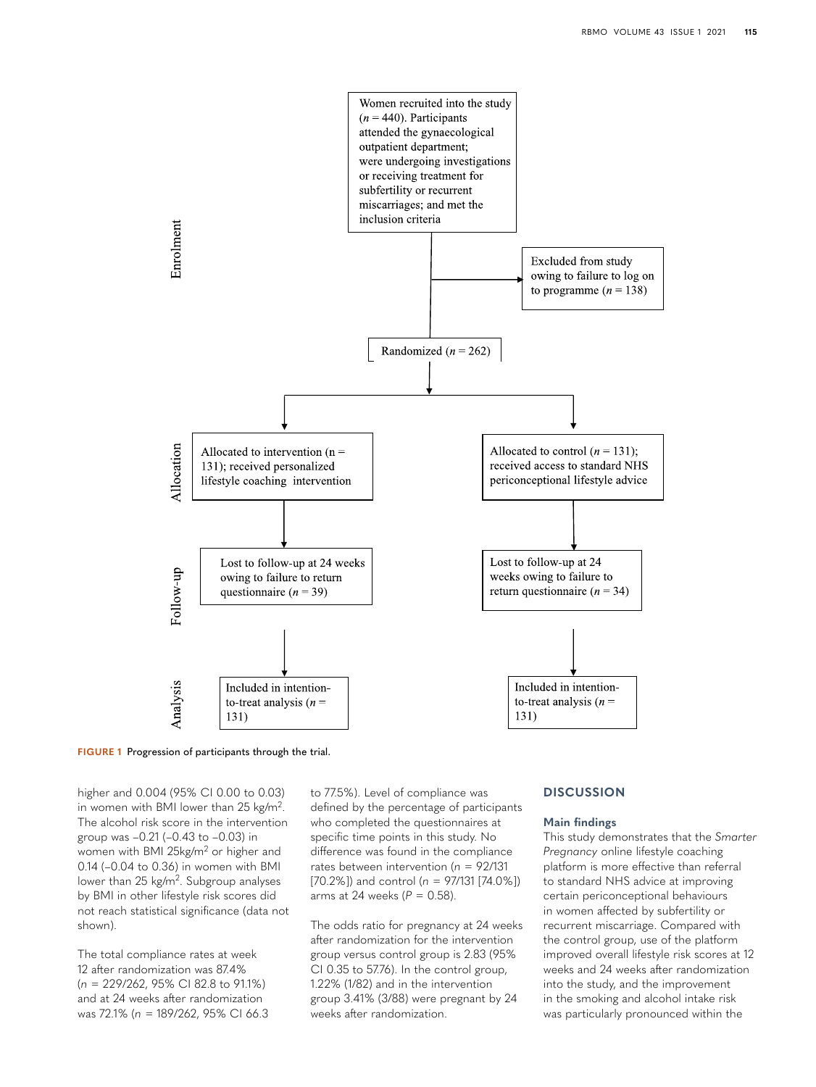

<span id="page-4-0"></span>

higher and 0.004 (95% CI 0.00 to 0.03) in women with BMI lower than 25 kg/m2. The alcohol risk score in the intervention group was –0.21 (–0.43 to –0.03) in women with BMI 25kg/m2 or higher and 0.14 (–0.04 to 0.36) in women with BMI lower than 25 kg/m<sup>2</sup>. Subgroup analyses by BMI in other lifestyle risk scores did not reach statistical significance (data not shown).

The total compliance rates at week 12 after randomization was 87.4% (*n* = 229/262, 95% CI 82.8 to 91.1%) and at 24 weeks after randomization was 72.1% (*n* = 189/262, 95% CI 66.3 to 77.5%). Level of compliance was defined by the percentage of participants who completed the questionnaires at specific time points in this study. No difference was found in the compliance rates between intervention (*n* = 92/131 [70.2%]) and control (*n* = 97/131 [74.0%]) arms at 24 weeks (*P* = 0.58).

The odds ratio for pregnancy at 24 weeks after randomization for the intervention group versus control group is 2.83 (95% CI 0.35 to 57.76). In the control group, 1.22% (1/82) and in the intervention group 3.41% (3/88) were pregnant by 24 weeks after randomization.

# **DISCUSSION**

#### **Main findings**

This study demonstrates that the *Smarter Pregnancy* online lifestyle coaching platform is more effective than referral to standard NHS advice at improving certain periconceptional behaviours in women affected by subfertility or recurrent miscarriage. Compared with the control group, use of the platform improved overall lifestyle risk scores at 12 weeks and 24 weeks after randomization into the study, and the improvement in the smoking and alcohol intake risk was particularly pronounced within the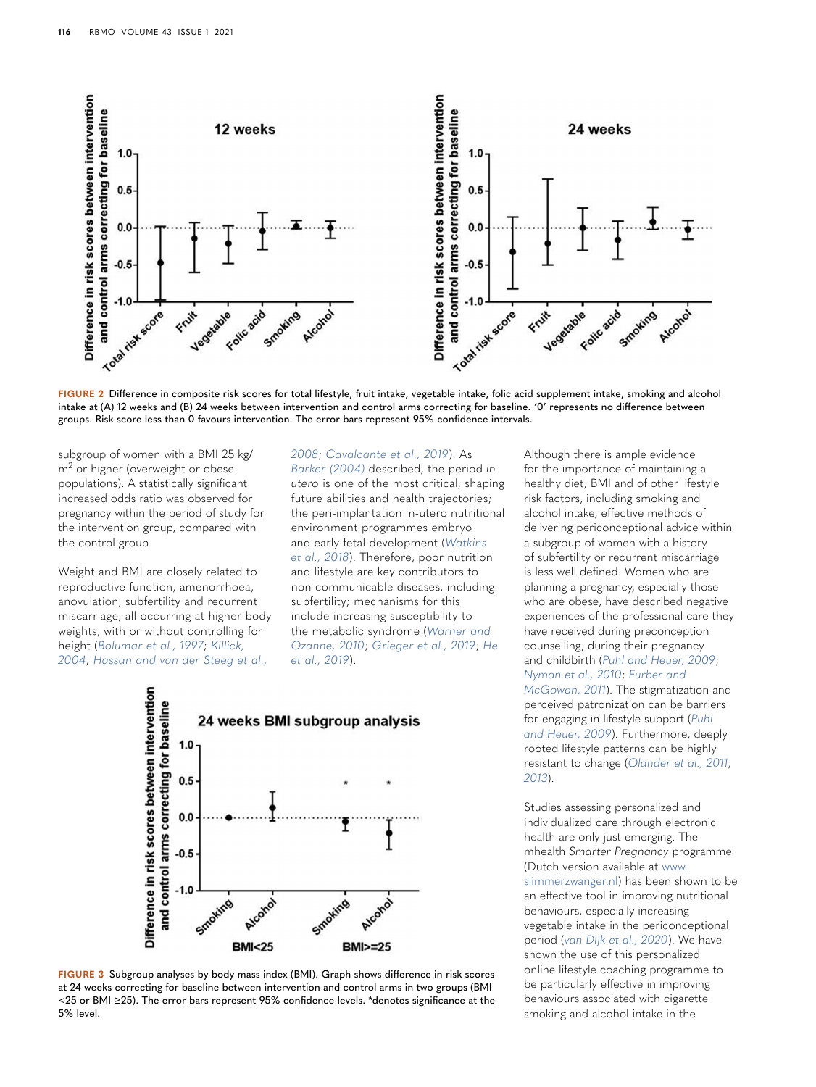

<span id="page-5-0"></span>**FIGURE 2** Difference in composite risk scores for total lifestyle, fruit intake, vegetable intake, folic acid supplement intake, smoking and alcohol intake at (A) 12 weeks and (B) 24 weeks between intervention and control arms correcting for baseline. '0' represents no difference between groups. Risk score less than 0 favours intervention. The error bars represent 95% confidence intervals.

subgroup of women with a BMI 25 kg/ m<sup>2</sup> or higher (overweight or obese populations). A statistically significant increased odds ratio was observed for pregnancy within the period of study for the intervention group, compared with the control group.

Weight and BMI are closely related to reproductive function, amenorrhoea, anovulation, subfertility and recurrent miscarriage, all occurring at higher body weights, with or without controlling for height (*[Bolumar et al., 1997](#page-7-20)*; *[Killick,](#page-7-21)  [2004](#page-7-21)*; *[Hassan and van der Steeg et al.,](#page-8-10)* 

*[2008](#page-8-10)*; *[Cavalcante et al., 2019](#page-7-22)*). As *[Barker \(2004\)](#page-7-3)* described, the period *in utero* is one of the most critical, shaping future abilities and health trajectories; the peri-implantation in-utero nutritional environment programmes embryo and early fetal development (*[Watkins](#page-8-2)  [et al., 2018](#page-8-2)*). Therefore, poor nutrition and lifestyle are key contributors to non-communicable diseases, including subfertility; mechanisms for this include increasing susceptibility to the metabolic syndrome (*[Warner and](#page-8-11)  [Ozanne, 2010](#page-8-11)*; *[Grieger et al., 2019](#page-7-23)*; *[He](#page-7-24)  [et al., 2019](#page-7-24)*).



<span id="page-5-1"></span>**FIGURE 3** Subgroup analyses by body mass index (BMI). Graph shows difference in risk scores at 24 weeks correcting for baseline between intervention and control arms in two groups (BMI <25 or BMI ≥25). The error bars represent 95% confidence levels. \*denotes significance at the 5% level.

Although there is ample evidence for the importance of maintaining a healthy diet, BMI and of other lifestyle risk factors, including smoking and alcohol intake, effective methods of delivering periconceptional advice within a subgroup of women with a history of subfertility or recurrent miscarriage is less well defined. Women who are planning a pregnancy, especially those who are obese, have described negative experiences of the professional care they have received during preconception counselling, during their pregnancy and childbirth (*[Puhl and Heuer, 2009](#page-8-12)*; *[Nyman et al., 2010](#page-7-25)*; *[Furber and](#page-7-26)  [McGowan, 2011](#page-7-26)*). The stigmatization and perceived patronization can be barriers for engaging in lifestyle support (*[Puhl](#page-8-12)  [and Heuer, 2009](#page-8-12)*). Furthermore, deeply rooted lifestyle patterns can be highly resistant to change (*[Olander et al., 2011](#page-7-27)*; *[2013](#page-7-28)*).

Studies assessing personalized and individualized care through electronic health are only just emerging. The mhealth *Smarter Pregnancy* programme (Dutch version available at [www.](http://www.slimmerzwanger.nl) [slimmerzwanger.nl](http://www.slimmerzwanger.nl)) has been shown to be an effective tool in improving nutritional behaviours, especially increasing vegetable intake in the periconceptional period (*[van Dijk et al., 2020](#page-8-13)*). We have shown the use of this personalized online lifestyle coaching programme to be particularly effective in improving behaviours associated with cigarette smoking and alcohol intake in the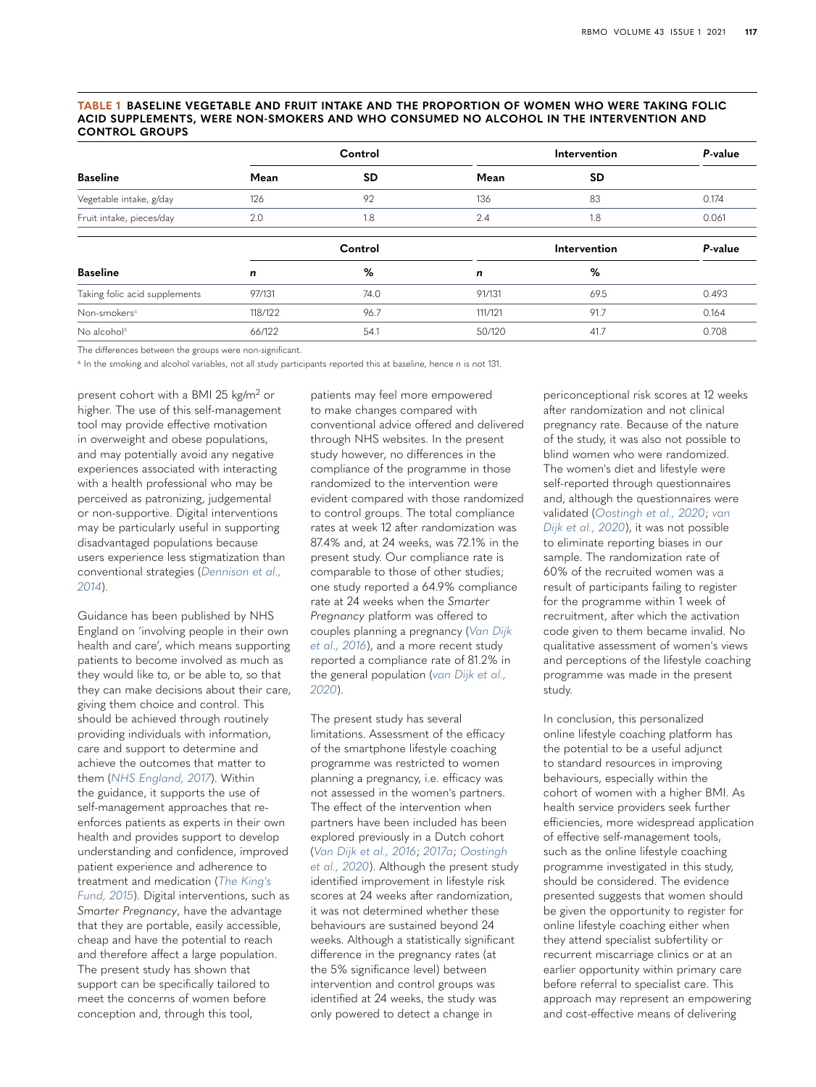#### <span id="page-6-0"></span>**TABLE 1 BASELINE VEGETABLE AND FRUIT INTAKE AND THE PROPORTION OF WOMEN WHO WERE TAKING FOLIC ACID SUPPLEMENTS, WERE NON-SMOKERS AND WHO CONSUMED NO ALCOHOL IN THE INTERVENTION AND CONTROL GROUPS**

| <b>Baseline</b>               | Control     |           | Intervention |           | P-value |
|-------------------------------|-------------|-----------|--------------|-----------|---------|
|                               | Mean        | <b>SD</b> | Mean         | <b>SD</b> |         |
| Vegetable intake, g/day       | 126         | 92        | 136          | 83        | 0.174   |
| Fruit intake, pieces/day      | 2.0         | 1.8       | 2.4          | 1.8       | 0.061   |
|                               | Control     |           | Intervention |           | P-value |
| <b>Baseline</b>               | $\mathbf n$ | %         | n            | %         |         |
| Taking folic acid supplements | 97/131      | 74.0      | 91/131       | 69.5      | 0.493   |
| Non-smokers <sup>a</sup>      | 118/122     | 96.7      | 111/121      | 91.7      | 0.164   |
| No alcohol <sup>a</sup>       | 66/122      | 54.1      | 50/120       | 41.7      | 0.708   |

The differences between the groups were non-significant.

<span id="page-6-1"></span><sup>a</sup> In the smoking and alcohol variables, not all study participants reported this at baseline, hence *n* is not 131.

present cohort with a BMI 25 kg/m2 or higher. The use of this self-management tool may provide effective motivation in overweight and obese populations, and may potentially avoid any negative experiences associated with interacting with a health professional who may be perceived as patronizing, judgemental or non-supportive. Digital interventions may be particularly useful in supporting disadvantaged populations because users experience less stigmatization than conventional strategies (*[Dennison et al.,](#page-7-29)  [2014](#page-7-29)*).

Guidance has been published by NHS England on 'involving people in their own health and care', which means supporting patients to become involved as much as they would like to, or be able to, so that they can make decisions about their care, giving them choice and control. This should be achieved through routinely providing individuals with information, care and support to determine and achieve the outcomes that matter to them (*[NHS England, 2017](#page-7-30)*). Within the guidance, it supports the use of self-management approaches that reenforces patients as experts in their own health and provides support to develop understanding and confidence, improved patient experience and adherence to treatment and medication (*[The King's](#page-8-14)  [Fund, 2015](#page-8-14)*). Digital interventions, such as *Smarter Pregnancy*, have the advantage that they are portable, easily accessible, cheap and have the potential to reach and therefore affect a large population. The present study has shown that support can be specifically tailored to meet the concerns of women before conception and, through this tool,

patients may feel more empowered to make changes compared with conventional advice offered and delivered through NHS websites. In the present study however, no differences in the compliance of the programme in those randomized to the intervention were evident compared with those randomized to control groups. The total compliance rates at week 12 after randomization was 87.4% and, at 24 weeks, was 72.1% in the present study. Our compliance rate is comparable to those of other studies; one study reported a 64.9% compliance rate at 24 weeks when the *Smarter Pregnancy* platform was offered to couples planning a pregnancy (*[Van Dijk](#page-8-5)  [et al., 2016](#page-8-5)*), and a more recent study reported a compliance rate of 81.2% in the general population (*[van Dijk et al.,](#page-8-13)  [2020](#page-8-13)*).

The present study has several limitations. Assessment of the efficacy of the smartphone lifestyle coaching programme was restricted to women planning a pregnancy, i.e. efficacy was not assessed in the women's partners. The effect of the intervention when partners have been included has been explored previously in a Dutch cohort (*[Van Dijk et al., 2016](#page-8-5)*; *[2017a](#page-8-6)*; *[Oostingh](#page-7-14)  [et al., 2020](#page-7-14)*). Although the present study identified improvement in lifestyle risk scores at 24 weeks after randomization, it was not determined whether these behaviours are sustained beyond 24 weeks. Although a statistically significant difference in the pregnancy rates (at the 5% significance level) between intervention and control groups was identified at 24 weeks, the study was only powered to detect a change in

periconceptional risk scores at 12 weeks after randomization and not clinical pregnancy rate. Because of the nature of the study, it was also not possible to blind women who were randomized. The women's diet and lifestyle were self-reported through questionnaires and, although the questionnaires were validated (*[Oostingh et al., 2020](#page-7-14)*; *[van](#page-8-13)  [Dijk et al., 2020](#page-8-13)*), it was not possible to eliminate reporting biases in our sample. The randomization rate of 60% of the recruited women was a result of participants failing to register for the programme within 1 week of recruitment, after which the activation code given to them became invalid. No qualitative assessment of women's views and perceptions of the lifestyle coaching programme was made in the present study.

In conclusion, this personalized online lifestyle coaching platform has the potential to be a useful adjunct to standard resources in improving behaviours, especially within the cohort of women with a higher BMI. As health service providers seek further efficiencies, more widespread application of effective self-management tools, such as the online lifestyle coaching programme investigated in this study, should be considered. The evidence presented suggests that women should be given the opportunity to register for online lifestyle coaching either when they attend specialist subfertility or recurrent miscarriage clinics or at an earlier opportunity within primary care before referral to specialist care. This approach may represent an empowering and cost-effective means of delivering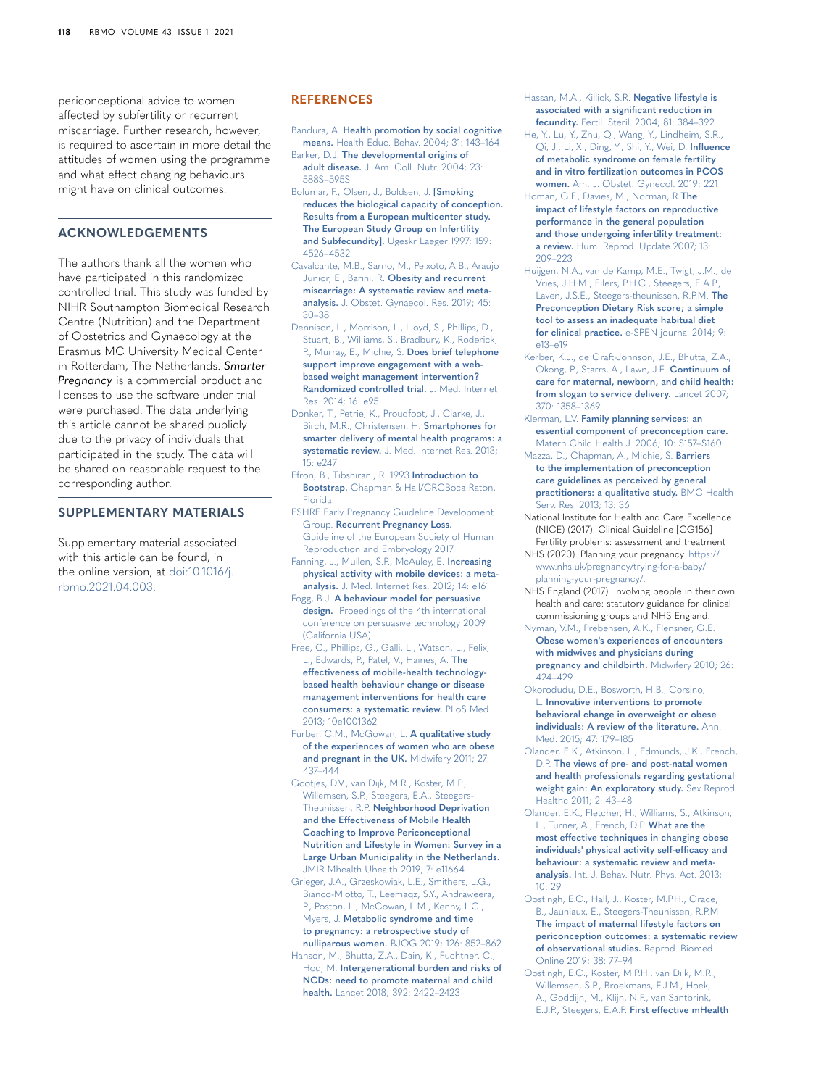periconceptional advice to women affected by subfertility or recurrent miscarriage. Further research, however, is required to ascertain in more detail the attitudes of women using the programme and what effect changing behaviours might have on clinical outcomes.

# **ACKNOWLEDGEMENTS**

The authors thank all the women who have participated in this randomized controlled trial. This study was funded by NIHR Southampton Biomedical Research Centre (Nutrition) and the Department of Obstetrics and Gynaecology at the Erasmus MC University Medical Center in Rotterdam, The Netherlands. *Smarter Pregnancy* is a commercial product and licenses to use the software under trial were purchased. The data underlying this article cannot be shared publicly due to the privacy of individuals that participated in the study. The data will be shared on reasonable request to the corresponding author.

# **SUPPLEMENTARY MATERIALS**

Supplementary material associated with this article can be found, in the online version, at [doi:10.1016/j.](https://doi.org/10.1016/j.rbmo.2021.04.003) [rbmo.2021.04.003.](https://doi.org/10.1016/j.rbmo.2021.04.003)

# **REFERENCES**

- <span id="page-7-12"></span>Bandura, A. **[Health promotion by social cognitive](http://refhub.elsevier.com/S1472-6483(21)00179-6/sbref0001)  means.** [Health Educ. Behav. 2004; 31: 143–164](http://refhub.elsevier.com/S1472-6483(21)00179-6/sbref0001)
- <span id="page-7-3"></span>Barker, D.J. **[The developmental origins of](http://refhub.elsevier.com/S1472-6483(21)00179-6/sbref0002)  adult disease.** [J. Am. Coll. Nutr. 2004; 23:](http://refhub.elsevier.com/S1472-6483(21)00179-6/sbref0002)  [588S–595S](http://refhub.elsevier.com/S1472-6483(21)00179-6/sbref0002)
- <span id="page-7-20"></span>[Bolumar, F., Olsen, J., Boldsen, J.](http://refhub.elsevier.com/S1472-6483(21)00179-6/sbref0004) **[Smoking [reduces the biological capacity of conception.](http://refhub.elsevier.com/S1472-6483(21)00179-6/sbref0004)  [Results from a European multicenter study.](http://refhub.elsevier.com/S1472-6483(21)00179-6/sbref0004)  [The European Study Group on Infertility](http://refhub.elsevier.com/S1472-6483(21)00179-6/sbref0004)  and Subfecundity].** [Ugeskr Laeger 1997; 159:](http://refhub.elsevier.com/S1472-6483(21)00179-6/sbref0004)  [4526–4532](http://refhub.elsevier.com/S1472-6483(21)00179-6/sbref0004)
- <span id="page-7-22"></span>[Cavalcante, M.B., Sarno, M., Peixoto, A.B., Araujo](http://refhub.elsevier.com/S1472-6483(21)00179-6/sbref0005)  Junior, E., Barini, R. **[Obesity and recurrent](http://refhub.elsevier.com/S1472-6483(21)00179-6/sbref0005)  [miscarriage: A systematic review and meta](http://refhub.elsevier.com/S1472-6483(21)00179-6/sbref0005)analysis.** [J. Obstet. Gynaecol. Res. 2019; 45:](http://refhub.elsevier.com/S1472-6483(21)00179-6/sbref0005)  [30–38](http://refhub.elsevier.com/S1472-6483(21)00179-6/sbref0005)
- <span id="page-7-29"></span>[Dennison, L., Morrison, L., Lloyd, S., Phillips, D.,](http://refhub.elsevier.com/S1472-6483(21)00179-6/sbref0006)  [Stuart, B., Williams, S., Bradbury, K., Roderick,](http://refhub.elsevier.com/S1472-6483(21)00179-6/sbref0006)  [P., Murray, E., Michie, S.](http://refhub.elsevier.com/S1472-6483(21)00179-6/sbref0006) **Does brief telephone [support improve engagement with a web](http://refhub.elsevier.com/S1472-6483(21)00179-6/sbref0006)[based weight management intervention?](http://refhub.elsevier.com/S1472-6483(21)00179-6/sbref0006)  [Randomized controlled trial.](http://refhub.elsevier.com/S1472-6483(21)00179-6/sbref0006)** J. Med. Internet [Res. 2014; 16: e95](http://refhub.elsevier.com/S1472-6483(21)00179-6/sbref0006)
- <span id="page-7-8"></span>[Donker, T., Petrie, K., Proudfoot, J., Clarke, J.,](http://refhub.elsevier.com/S1472-6483(21)00179-6/sbref0007)  [Birch, M.R., Christensen, H.](http://refhub.elsevier.com/S1472-6483(21)00179-6/sbref0007) **Smartphones for [smarter delivery of mental health programs: a](http://refhub.elsevier.com/S1472-6483(21)00179-6/sbref0007)  systematic review.** [J. Med. Internet Res. 2013;](http://refhub.elsevier.com/S1472-6483(21)00179-6/sbref0007)  [15: e247](http://refhub.elsevier.com/S1472-6483(21)00179-6/sbref0007)
- <span id="page-7-19"></span>[Efron, B., Tibshirani, R. 1993](http://refhub.elsevier.com/S1472-6483(21)00179-6/sbref0008) **Introduction to Bootstrap.** [Chapman & Hall/CRCBoca Raton,](http://refhub.elsevier.com/S1472-6483(21)00179-6/sbref0008)  [Florida](http://refhub.elsevier.com/S1472-6483(21)00179-6/sbref0008)
- <span id="page-7-0"></span>[ESHRE Early Pregnancy Guideline Development](http://refhub.elsevier.com/S1472-6483(21)00179-6/sbref0009)  Group. **[Recurrent Pregnancy Loss.](http://refhub.elsevier.com/S1472-6483(21)00179-6/sbref0009)** [Guideline of the European Society of Human](http://refhub.elsevier.com/S1472-6483(21)00179-6/sbref0009)  [Reproduction and Embryology 2017](http://refhub.elsevier.com/S1472-6483(21)00179-6/sbref0009)
- <span id="page-7-7"></span>[Fanning, J., Mullen, S.P., McAuley, E.](http://refhub.elsevier.com/S1472-6483(21)00179-6/sbref0010) **Increasing [physical activity with mobile devices: a meta](http://refhub.elsevier.com/S1472-6483(21)00179-6/sbref0010)analysis.** [J. Med. Internet Res. 2012; 14: e161](http://refhub.elsevier.com/S1472-6483(21)00179-6/sbref0010)
- <span id="page-7-13"></span>Fogg, B.J. **[A behaviour model for persuasive](http://refhub.elsevier.com/S1472-6483(21)00179-6/sbref0011)  design.** [Proeedings of the 4th international](http://refhub.elsevier.com/S1472-6483(21)00179-6/sbref0011)  [conference on persuasive technology 2009](http://refhub.elsevier.com/S1472-6483(21)00179-6/sbref0011)  [\(California USA\)](http://refhub.elsevier.com/S1472-6483(21)00179-6/sbref0011)
- <span id="page-7-9"></span>[Free, C., Phillips, G., Galli, L., Watson, L., Felix,](http://refhub.elsevier.com/S1472-6483(21)00179-6/sbref0012)  [L., Edwards, P., Patel, V., Haines, A.](http://refhub.elsevier.com/S1472-6483(21)00179-6/sbref0012) **The [effectiveness of mobile-health technology](http://refhub.elsevier.com/S1472-6483(21)00179-6/sbref0012)[based health behaviour change or disease](http://refhub.elsevier.com/S1472-6483(21)00179-6/sbref0012)  [management interventions for health care](http://refhub.elsevier.com/S1472-6483(21)00179-6/sbref0012)  [consumers: a systematic review.](http://refhub.elsevier.com/S1472-6483(21)00179-6/sbref0012)** PLoS Med. [2013; 10e1001362](http://refhub.elsevier.com/S1472-6483(21)00179-6/sbref0012)
- <span id="page-7-26"></span>[Furber, C.M., McGowan, L.](http://refhub.elsevier.com/S1472-6483(21)00179-6/sbref0013) **A qualitative study [of the experiences of women who are obese](http://refhub.elsevier.com/S1472-6483(21)00179-6/sbref0013)  [and pregnant in the UK.](http://refhub.elsevier.com/S1472-6483(21)00179-6/sbref0013)** Midwifery 2011; 27: [437–444](http://refhub.elsevier.com/S1472-6483(21)00179-6/sbref0013)
- <span id="page-7-11"></span>[Gootjes, D.V., van Dijk, M.R., Koster, M.P.,](http://refhub.elsevier.com/S1472-6483(21)00179-6/sbref0014)  [Willemsen, S.P., Steegers, E.A., Steegers-](http://refhub.elsevier.com/S1472-6483(21)00179-6/sbref0014)Theunissen, R.P. **[Neighborhood Deprivation](http://refhub.elsevier.com/S1472-6483(21)00179-6/sbref0014)  [and the Effectiveness of Mobile Health](http://refhub.elsevier.com/S1472-6483(21)00179-6/sbref0014)  [Coaching to Improve Periconceptional](http://refhub.elsevier.com/S1472-6483(21)00179-6/sbref0014)  [Nutrition and Lifestyle in Women: Survey in a](http://refhub.elsevier.com/S1472-6483(21)00179-6/sbref0014)  [Large Urban Municipality in the Netherlands.](http://refhub.elsevier.com/S1472-6483(21)00179-6/sbref0014)** [JMIR Mhealth Uhealth 2019; 7: e11664](http://refhub.elsevier.com/S1472-6483(21)00179-6/sbref0014)
- <span id="page-7-23"></span>[Grieger, J.A., Grzeskowiak, L.E., Smithers, L.G.,](http://refhub.elsevier.com/S1472-6483(21)00179-6/sbref0015)  [Bianco-Miotto, T., Leemaqz, S.Y., Andraweera,](http://refhub.elsevier.com/S1472-6483(21)00179-6/sbref0015)  [P., Poston, L., McCowan, L.M., Kenny, L.C.,](http://refhub.elsevier.com/S1472-6483(21)00179-6/sbref0015)  Myers, J. **[Metabolic syndrome and time](http://refhub.elsevier.com/S1472-6483(21)00179-6/sbref0015)  [to pregnancy: a retrospective study of](http://refhub.elsevier.com/S1472-6483(21)00179-6/sbref0015)  nulliparous women.** [BJOG 2019; 126: 852–862](http://refhub.elsevier.com/S1472-6483(21)00179-6/sbref0015)
- <span id="page-7-2"></span>[Hanson, M., Bhutta, Z.A., Dain, K., Fuchtner, C.,](http://refhub.elsevier.com/S1472-6483(21)00179-6/sbref0016)  Hod, M. **[Intergenerational burden and risks of](http://refhub.elsevier.com/S1472-6483(21)00179-6/sbref0016)  [NCDs: need to promote maternal and child](http://refhub.elsevier.com/S1472-6483(21)00179-6/sbref0016)  health.** [Lancet 2018; 392: 2422–2423](http://refhub.elsevier.com/S1472-6483(21)00179-6/sbref0016)
- <span id="page-7-21"></span>[Hassan, M.A., Killick, S.R.](http://refhub.elsevier.com/S1472-6483(21)00179-6/sbref0017) **Negative lifestyle is [associated with a significant reduction in](http://refhub.elsevier.com/S1472-6483(21)00179-6/sbref0017)  fecundity.** [Fertil. Steril. 2004; 81: 384–392](http://refhub.elsevier.com/S1472-6483(21)00179-6/sbref0017)
- <span id="page-7-24"></span>[He, Y., Lu, Y., Zhu, Q., Wang, Y., Lindheim, S.R.,](http://refhub.elsevier.com/S1472-6483(21)00179-6/sbref0018)  [Qi, J., Li, X., Ding, Y., Shi, Y., Wei, D.](http://refhub.elsevier.com/S1472-6483(21)00179-6/sbref0018) **Influence [of metabolic syndrome on female fertility](http://refhub.elsevier.com/S1472-6483(21)00179-6/sbref0018)  [and in vitro fertilization outcomes in PCOS](http://refhub.elsevier.com/S1472-6483(21)00179-6/sbref0018)  women.** [Am. J. Obstet. Gynecol. 2019; 221](http://refhub.elsevier.com/S1472-6483(21)00179-6/sbref0018)
- <span id="page-7-17"></span>[Homan, G.F., Davies, M., Norman, R](http://refhub.elsevier.com/S1472-6483(21)00179-6/sbref0019) **The [impact of lifestyle factors on reproductive](http://refhub.elsevier.com/S1472-6483(21)00179-6/sbref0019)  [performance in the general population](http://refhub.elsevier.com/S1472-6483(21)00179-6/sbref0019)  [and those undergoing infertility treatment:](http://refhub.elsevier.com/S1472-6483(21)00179-6/sbref0019)  a review.** [Hum. Reprod. Update 2007; 13:](http://refhub.elsevier.com/S1472-6483(21)00179-6/sbref0019)  [209–223](http://refhub.elsevier.com/S1472-6483(21)00179-6/sbref0019)
- <span id="page-7-16"></span>[Huijgen, N.A., van de Kamp, M.E., Twigt, J.M., de](http://refhub.elsevier.com/S1472-6483(21)00179-6/sbref0020)  [Vries, J.H.M., Eilers, P.H.C., Steegers, E.A.P.,](http://refhub.elsevier.com/S1472-6483(21)00179-6/sbref0020)  [Laven, J.S.E., Steegers-theunissen, R.P.M.](http://refhub.elsevier.com/S1472-6483(21)00179-6/sbref0020) **The [Preconception Dietary Risk score; a simple](http://refhub.elsevier.com/S1472-6483(21)00179-6/sbref0020)  [tool to assess an inadequate habitual diet](http://refhub.elsevier.com/S1472-6483(21)00179-6/sbref0020)  for clinical practice.** [e-SPEN journal 2014; 9:](http://refhub.elsevier.com/S1472-6483(21)00179-6/sbref0020)  [e13–e19](http://refhub.elsevier.com/S1472-6483(21)00179-6/sbref0020)
- <span id="page-7-5"></span>[Kerber, K.J., de Graft-Johnson, J.E., Bhutta, Z.A.,](http://refhub.elsevier.com/S1472-6483(21)00179-6/sbref0021)  [Okong, P., Starrs, A., Lawn, J.E.](http://refhub.elsevier.com/S1472-6483(21)00179-6/sbref0021) **Continuum of [care for maternal, newborn, and child health:](http://refhub.elsevier.com/S1472-6483(21)00179-6/sbref0021)  [from slogan to service delivery.](http://refhub.elsevier.com/S1472-6483(21)00179-6/sbref0021)** Lancet 2007; [370: 1358–1369](http://refhub.elsevier.com/S1472-6483(21)00179-6/sbref0021)
- <span id="page-7-4"></span>Klerman, L.V. **[Family planning services: an](http://refhub.elsevier.com/S1472-6483(21)00179-6/sbref0022)  [essential component of preconception care.](http://refhub.elsevier.com/S1472-6483(21)00179-6/sbref0022)** [Matern Child Health J. 2006; 10: S157–S160](http://refhub.elsevier.com/S1472-6483(21)00179-6/sbref0022)
- <span id="page-7-6"></span>[Mazza, D., Chapman, A., Michie, S.](http://refhub.elsevier.com/S1472-6483(21)00179-6/sbref0023) **Barriers [to the implementation of preconception](http://refhub.elsevier.com/S1472-6483(21)00179-6/sbref0023)  [care guidelines as perceived by general](http://refhub.elsevier.com/S1472-6483(21)00179-6/sbref0023)  [practitioners: a qualitative study.](http://refhub.elsevier.com/S1472-6483(21)00179-6/sbref0023)** BMC Health [Serv. Res. 2013; 13: 36](http://refhub.elsevier.com/S1472-6483(21)00179-6/sbref0023)
- <span id="page-7-1"></span>National Institute for Health and Care Excellence (NICE) (2017). Clinical Guideline [CG156] Fertility problems: assessment and treatment
- <span id="page-7-15"></span>NHS (2020). Planning your pregnancy. [https://](https://www.nhs.uk/pregnancy/trying-for-a-baby/planning-your-pregnancy/) [www.nhs.uk/pregnancy/trying-for-a-baby/](https://www.nhs.uk/pregnancy/trying-for-a-baby/planning-your-pregnancy/) [planning-your-pregnancy/.](https://www.nhs.uk/pregnancy/trying-for-a-baby/planning-your-pregnancy/)
- <span id="page-7-30"></span>NHS England (2017). Involving people in their own health and care: statutory guidance for clinical commissioning groups and NHS England.
- <span id="page-7-25"></span>[Nyman, V.M., Prebensen, A.K., Flensner, G.E.](http://refhub.elsevier.com/S1472-6483(21)00179-6/sbref0027) **[Obese women's experiences of encounters](http://refhub.elsevier.com/S1472-6483(21)00179-6/sbref0027)  [with midwives and physicians during](http://refhub.elsevier.com/S1472-6483(21)00179-6/sbref0027)  [pregnancy and childbirth.](http://refhub.elsevier.com/S1472-6483(21)00179-6/sbref0027)** Midwifery 2010; 26: [424–429](http://refhub.elsevier.com/S1472-6483(21)00179-6/sbref0027)
- <span id="page-7-10"></span>[Okorodudu, D.E., Bosworth, H.B., Corsino,](http://refhub.elsevier.com/S1472-6483(21)00179-6/sbref0028)  L. **[Innovative interventions to promote](http://refhub.elsevier.com/S1472-6483(21)00179-6/sbref0028)  [behavioral change in overweight or obese](http://refhub.elsevier.com/S1472-6483(21)00179-6/sbref0028)  [individuals: A review of the literature.](http://refhub.elsevier.com/S1472-6483(21)00179-6/sbref0028)** Ann. [Med. 2015; 47: 179–185](http://refhub.elsevier.com/S1472-6483(21)00179-6/sbref0028)
- <span id="page-7-27"></span>[Olander, E.K., Atkinson, L., Edmunds, J.K., French,](http://refhub.elsevier.com/S1472-6483(21)00179-6/sbref0029)  D.P. **[The views of pre- and post-natal women](http://refhub.elsevier.com/S1472-6483(21)00179-6/sbref0029)  [and health professionals regarding gestational](http://refhub.elsevier.com/S1472-6483(21)00179-6/sbref0029)  [weight gain: An exploratory study.](http://refhub.elsevier.com/S1472-6483(21)00179-6/sbref0029)** Sex Reprod. [Healthc 2011; 2: 43–48](http://refhub.elsevier.com/S1472-6483(21)00179-6/sbref0029)
- <span id="page-7-28"></span>[Olander, E.K., Fletcher, H., Williams, S., Atkinson,](http://refhub.elsevier.com/S1472-6483(21)00179-6/sbref0030)  [L., Turner, A., French, D.P.](http://refhub.elsevier.com/S1472-6483(21)00179-6/sbref0030) **What are the [most effective techniques in changing obese](http://refhub.elsevier.com/S1472-6483(21)00179-6/sbref0030)  [individuals' physical activity self-efficacy and](http://refhub.elsevier.com/S1472-6483(21)00179-6/sbref0030)  [behaviour: a systematic review and meta](http://refhub.elsevier.com/S1472-6483(21)00179-6/sbref0030)analysis.** [Int. J. Behav. Nutr. Phys. Act. 2013;](http://refhub.elsevier.com/S1472-6483(21)00179-6/sbref0030)  [10: 29](http://refhub.elsevier.com/S1472-6483(21)00179-6/sbref0030)
- <span id="page-7-18"></span>[Oostingh, E.C., Hall, J., Koster, M.P.H., Grace,](http://refhub.elsevier.com/S1472-6483(21)00179-6/sbref0031)  [B., Jauniaux, E., Steegers-Theunissen, R.P.M](http://refhub.elsevier.com/S1472-6483(21)00179-6/sbref0031) **[The impact of maternal lifestyle factors on](http://refhub.elsevier.com/S1472-6483(21)00179-6/sbref0031)  [periconception outcomes: a systematic review](http://refhub.elsevier.com/S1472-6483(21)00179-6/sbref0031)  [of observational studies.](http://refhub.elsevier.com/S1472-6483(21)00179-6/sbref0031)** Reprod. Biomed. [Online 2019; 38: 77–94](http://refhub.elsevier.com/S1472-6483(21)00179-6/sbref0031)
- <span id="page-7-14"></span>[Oostingh, E.C., Koster, M.P.H., van Dijk, M.R.,](http://refhub.elsevier.com/S1472-6483(21)00179-6/sbref0032)  [Willemsen, S.P., Broekmans, F.J.M., Hoek,](http://refhub.elsevier.com/S1472-6483(21)00179-6/sbref0032)  [A., Goddijn, M., Klijn, N.F., van Santbrink,](http://refhub.elsevier.com/S1472-6483(21)00179-6/sbref0032)  E.J.P., Steegers, E.A.P. **[First effective mHealth](http://refhub.elsevier.com/S1472-6483(21)00179-6/sbref0032)**